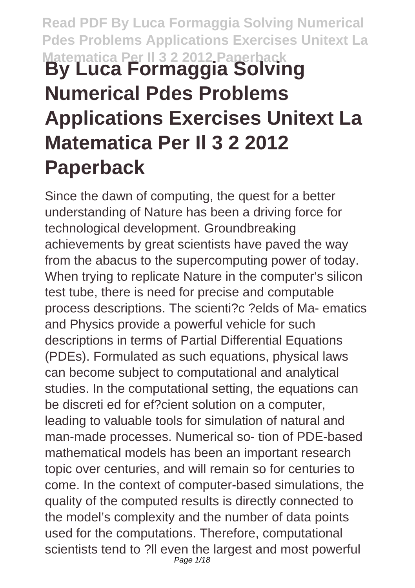# **Read PDF By Luca Formaggia Solving Numerical Pdes Problems Applications Exercises Unitext La Matematica Per Il 3 2 2012 Paperback By Luca Formaggia Solving Numerical Pdes Problems Applications Exercises Unitext La Matematica Per Il 3 2 2012 Paperback**

Since the dawn of computing, the quest for a better understanding of Nature has been a driving force for technological development. Groundbreaking achievements by great scientists have paved the way from the abacus to the supercomputing power of today. When trying to replicate Nature in the computer's silicon test tube, there is need for precise and computable process descriptions. The scienti?c ?elds of Ma- ematics and Physics provide a powerful vehicle for such descriptions in terms of Partial Differential Equations (PDEs). Formulated as such equations, physical laws can become subject to computational and analytical studies. In the computational setting, the equations can be discreti ed for ef?cient solution on a computer, leading to valuable tools for simulation of natural and man-made processes. Numerical so- tion of PDE-based mathematical models has been an important research topic over centuries, and will remain so for centuries to come. In the context of computer-based simulations, the quality of the computed results is directly connected to the model's complexity and the number of data points used for the computations. Therefore, computational scientists tend to ?ll even the largest and most powerful Page 1/18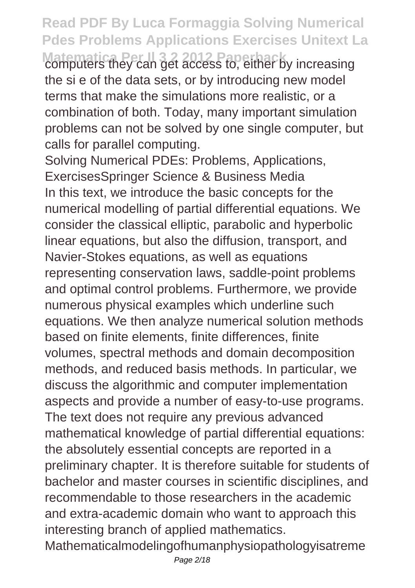**Matematica Per Il 3 2 2012 Paperback** computers they can get access to, either by increasing the si e of the data sets, or by introducing new model terms that make the simulations more realistic, or a combination of both. Today, many important simulation problems can not be solved by one single computer, but calls for parallel computing.

Solving Numerical PDEs: Problems, Applications, ExercisesSpringer Science & Business Media In this text, we introduce the basic concepts for the numerical modelling of partial differential equations. We consider the classical elliptic, parabolic and hyperbolic linear equations, but also the diffusion, transport, and Navier-Stokes equations, as well as equations representing conservation laws, saddle-point problems and optimal control problems. Furthermore, we provide numerous physical examples which underline such equations. We then analyze numerical solution methods based on finite elements, finite differences, finite volumes, spectral methods and domain decomposition methods, and reduced basis methods. In particular, we discuss the algorithmic and computer implementation aspects and provide a number of easy-to-use programs. The text does not require any previous advanced mathematical knowledge of partial differential equations: the absolutely essential concepts are reported in a preliminary chapter. It is therefore suitable for students of bachelor and master courses in scientific disciplines, and recommendable to those researchers in the academic and extra-academic domain who want to approach this interesting branch of applied mathematics. Mathematicalmodelingofhumanphysiopathologyisatreme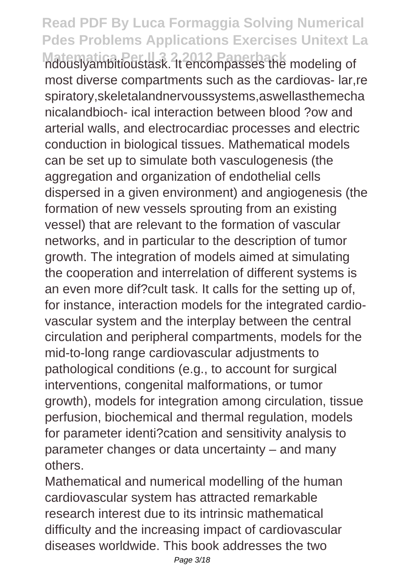**Matematica Per Il 3 2012 Paperback**<br>ndouslyambitioustask. It encompasses the modeling of most diverse compartments such as the cardiovas- lar,re spiratory,skeletalandnervoussystems,aswellasthemecha nicalandbioch- ical interaction between blood ?ow and arterial walls, and electrocardiac processes and electric conduction in biological tissues. Mathematical models can be set up to simulate both vasculogenesis (the aggregation and organization of endothelial cells dispersed in a given environment) and angiogenesis (the formation of new vessels sprouting from an existing vessel) that are relevant to the formation of vascular networks, and in particular to the description of tumor growth. The integration of models aimed at simulating the cooperation and interrelation of different systems is an even more dif?cult task. It calls for the setting up of, for instance, interaction models for the integrated cardiovascular system and the interplay between the central circulation and peripheral compartments, models for the mid-to-long range cardiovascular adjustments to pathological conditions (e.g., to account for surgical interventions, congenital malformations, or tumor growth), models for integration among circulation, tissue perfusion, biochemical and thermal regulation, models for parameter identi?cation and sensitivity analysis to parameter changes or data uncertainty – and many others.

Mathematical and numerical modelling of the human cardiovascular system has attracted remarkable research interest due to its intrinsic mathematical difficulty and the increasing impact of cardiovascular diseases worldwide. This book addresses the two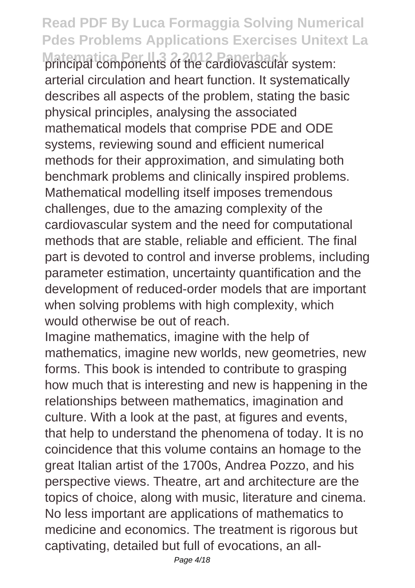**Matematica Per Il 3 2 2012 Paperback** principal components of the cardiovascular system: arterial circulation and heart function. It systematically describes all aspects of the problem, stating the basic physical principles, analysing the associated mathematical models that comprise PDE and ODE systems, reviewing sound and efficient numerical methods for their approximation, and simulating both benchmark problems and clinically inspired problems. Mathematical modelling itself imposes tremendous challenges, due to the amazing complexity of the cardiovascular system and the need for computational methods that are stable, reliable and efficient. The final part is devoted to control and inverse problems, including parameter estimation, uncertainty quantification and the development of reduced-order models that are important when solving problems with high complexity, which would otherwise be out of reach.

Imagine mathematics, imagine with the help of mathematics, imagine new worlds, new geometries, new forms. This book is intended to contribute to grasping how much that is interesting and new is happening in the relationships between mathematics, imagination and culture. With a look at the past, at figures and events, that help to understand the phenomena of today. It is no coincidence that this volume contains an homage to the great Italian artist of the 1700s, Andrea Pozzo, and his perspective views. Theatre, art and architecture are the topics of choice, along with music, literature and cinema. No less important are applications of mathematics to medicine and economics. The treatment is rigorous but captivating, detailed but full of evocations, an all-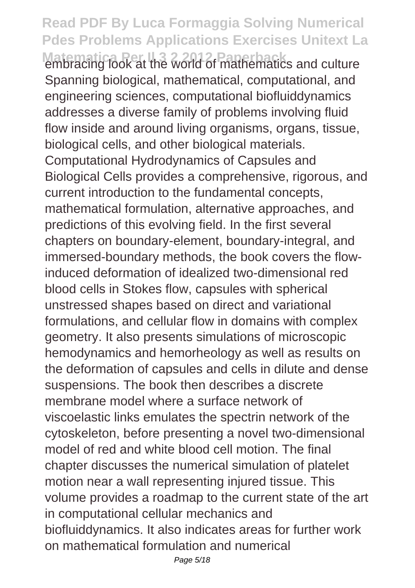**Matematica Per Il 3 2 2012 Paperback** embracing look at the world of mathematics and culture Spanning biological, mathematical, computational, and engineering sciences, computational biofluiddynamics addresses a diverse family of problems involving fluid flow inside and around living organisms, organs, tissue, biological cells, and other biological materials. Computational Hydrodynamics of Capsules and Biological Cells provides a comprehensive, rigorous, and current introduction to the fundamental concepts, mathematical formulation, alternative approaches, and predictions of this evolving field. In the first several chapters on boundary-element, boundary-integral, and immersed-boundary methods, the book covers the flowinduced deformation of idealized two-dimensional red blood cells in Stokes flow, capsules with spherical unstressed shapes based on direct and variational formulations, and cellular flow in domains with complex geometry. It also presents simulations of microscopic hemodynamics and hemorheology as well as results on the deformation of capsules and cells in dilute and dense suspensions. The book then describes a discrete membrane model where a surface network of viscoelastic links emulates the spectrin network of the cytoskeleton, before presenting a novel two-dimensional model of red and white blood cell motion. The final chapter discusses the numerical simulation of platelet motion near a wall representing injured tissue. This volume provides a roadmap to the current state of the art in computational cellular mechanics and biofluiddynamics. It also indicates areas for further work on mathematical formulation and numerical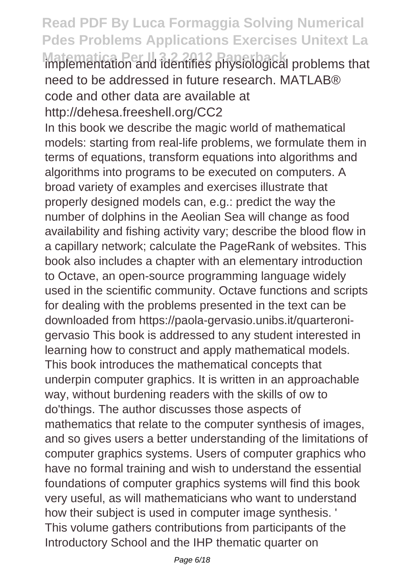**Matematica Per Il 3 2 2012 Paperback** implementation and identifies physiological problems that need to be addressed in future research. MATLAB® code and other data are available at http://dehesa.freeshell.org/CC2

In this book we describe the magic world of mathematical models: starting from real-life problems, we formulate them in terms of equations, transform equations into algorithms and algorithms into programs to be executed on computers. A broad variety of examples and exercises illustrate that properly designed models can, e.g.: predict the way the number of dolphins in the Aeolian Sea will change as food availability and fishing activity vary; describe the blood flow in a capillary network; calculate the PageRank of websites. This book also includes a chapter with an elementary introduction to Octave, an open-source programming language widely used in the scientific community. Octave functions and scripts for dealing with the problems presented in the text can be downloaded from https://paola-gervasio.unibs.it/quarteronigervasio This book is addressed to any student interested in learning how to construct and apply mathematical models. This book introduces the mathematical concepts that underpin computer graphics. It is written in an approachable way, without burdening readers with the skills of ow to do'things. The author discusses those aspects of mathematics that relate to the computer synthesis of images, and so gives users a better understanding of the limitations of computer graphics systems. Users of computer graphics who have no formal training and wish to understand the essential foundations of computer graphics systems will find this book very useful, as will mathematicians who want to understand how their subject is used in computer image synthesis. ' This volume gathers contributions from participants of the Introductory School and the IHP thematic quarter on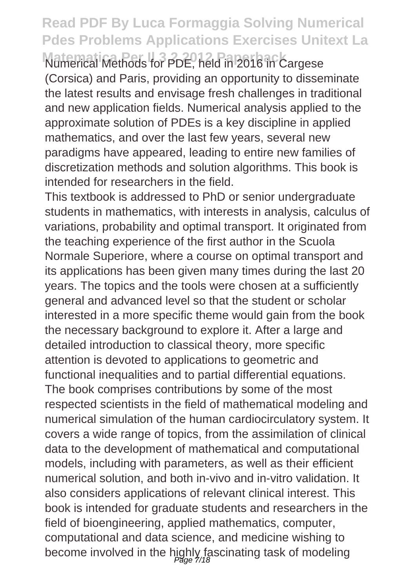**Matemati Methods for PDE, held in 2016 in Cargese** (Corsica) and Paris, providing an opportunity to disseminate the latest results and envisage fresh challenges in traditional and new application fields. Numerical analysis applied to the approximate solution of PDEs is a key discipline in applied mathematics, and over the last few years, several new paradigms have appeared, leading to entire new families of discretization methods and solution algorithms. This book is intended for researchers in the field.

This textbook is addressed to PhD or senior undergraduate students in mathematics, with interests in analysis, calculus of variations, probability and optimal transport. It originated from the teaching experience of the first author in the Scuola Normale Superiore, where a course on optimal transport and its applications has been given many times during the last 20 years. The topics and the tools were chosen at a sufficiently general and advanced level so that the student or scholar interested in a more specific theme would gain from the book the necessary background to explore it. After a large and detailed introduction to classical theory, more specific attention is devoted to applications to geometric and functional inequalities and to partial differential equations. The book comprises contributions by some of the most respected scientists in the field of mathematical modeling and numerical simulation of the human cardiocirculatory system. It covers a wide range of topics, from the assimilation of clinical data to the development of mathematical and computational models, including with parameters, as well as their efficient numerical solution, and both in-vivo and in-vitro validation. It also considers applications of relevant clinical interest. This book is intended for graduate students and researchers in the field of bioengineering, applied mathematics, computer, computational and data science, and medicine wishing to become involved in the highly fascinating task of modeling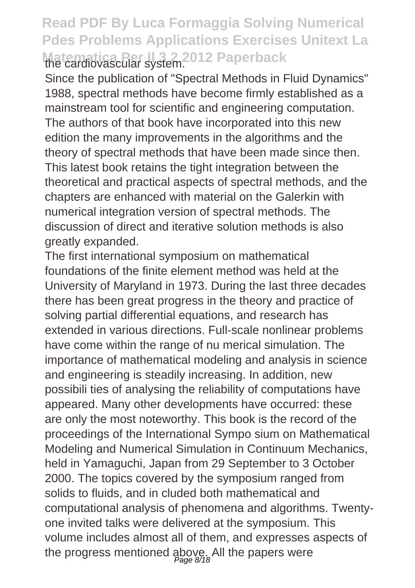#### **Read PDF By Luca Formaggia Solving Numerical Pdes Problems Applications Exercises Unitext La Matematica Per Il 3 2 2012 Paperback**

Since the publication of "Spectral Methods in Fluid Dynamics" 1988, spectral methods have become firmly established as a mainstream tool for scientific and engineering computation. The authors of that book have incorporated into this new edition the many improvements in the algorithms and the theory of spectral methods that have been made since then. This latest book retains the tight integration between the theoretical and practical aspects of spectral methods, and the chapters are enhanced with material on the Galerkin with numerical integration version of spectral methods. The discussion of direct and iterative solution methods is also greatly expanded.

The first international symposium on mathematical foundations of the finite element method was held at the University of Maryland in 1973. During the last three decades there has been great progress in the theory and practice of solving partial differential equations, and research has extended in various directions. Full-scale nonlinear problems have come within the range of nu merical simulation. The importance of mathematical modeling and analysis in science and engineering is steadily increasing. In addition, new possibili ties of analysing the reliability of computations have appeared. Many other developments have occurred: these are only the most noteworthy. This book is the record of the proceedings of the International Sympo sium on Mathematical Modeling and Numerical Simulation in Continuum Mechanics, held in Yamaguchi, Japan from 29 September to 3 October 2000. The topics covered by the symposium ranged from solids to fluids, and in cluded both mathematical and computational analysis of phenomena and algorithms. Twentyone invited talks were delivered at the symposium. This volume includes almost all of them, and expresses aspects of the progress mentioned above. All the papers were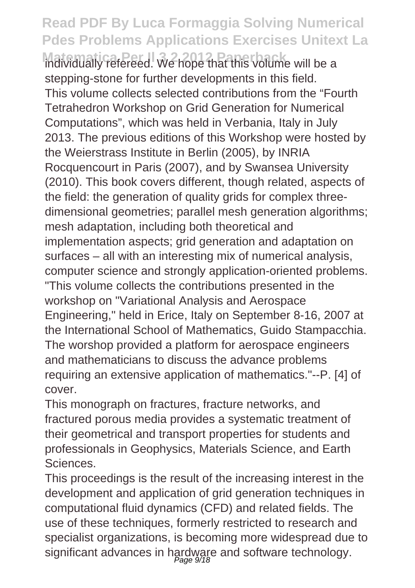**Matematically refereed. We hope that this volume will be a** stepping-stone for further developments in this field. This volume collects selected contributions from the "Fourth Tetrahedron Workshop on Grid Generation for Numerical Computations", which was held in Verbania, Italy in July 2013. The previous editions of this Workshop were hosted by the Weierstrass Institute in Berlin (2005), by INRIA Rocquencourt in Paris (2007), and by Swansea University (2010). This book covers different, though related, aspects of the field: the generation of quality grids for complex threedimensional geometries; parallel mesh generation algorithms; mesh adaptation, including both theoretical and implementation aspects; grid generation and adaptation on surfaces – all with an interesting mix of numerical analysis, computer science and strongly application-oriented problems. "This volume collects the contributions presented in the workshop on "Variational Analysis and Aerospace Engineering," held in Erice, Italy on September 8-16, 2007 at the International School of Mathematics, Guido Stampacchia. The worshop provided a platform for aerospace engineers and mathematicians to discuss the advance problems requiring an extensive application of mathematics."--P. [4] of cover.

This monograph on fractures, fracture networks, and fractured porous media provides a systematic treatment of their geometrical and transport properties for students and professionals in Geophysics, Materials Science, and Earth Sciences.

This proceedings is the result of the increasing interest in the development and application of grid generation techniques in computational fluid dynamics (CFD) and related fields. The use of these techniques, formerly restricted to research and specialist organizations, is becoming more widespread due to significant advances in hardware and software technology. Page 9/18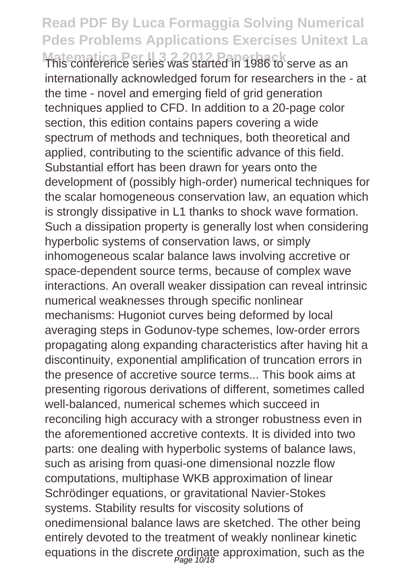**Matematica Per Il 3 2 2012 Paperback** Serve as an internationally acknowledged forum for researchers in the - at the time - novel and emerging field of grid generation techniques applied to CFD. In addition to a 20-page color section, this edition contains papers covering a wide spectrum of methods and techniques, both theoretical and applied, contributing to the scientific advance of this field. Substantial effort has been drawn for years onto the development of (possibly high-order) numerical techniques for the scalar homogeneous conservation law, an equation which is strongly dissipative in L1 thanks to shock wave formation. Such a dissipation property is generally lost when considering hyperbolic systems of conservation laws, or simply inhomogeneous scalar balance laws involving accretive or space-dependent source terms, because of complex wave interactions. An overall weaker dissipation can reveal intrinsic numerical weaknesses through specific nonlinear mechanisms: Hugoniot curves being deformed by local averaging steps in Godunov-type schemes, low-order errors propagating along expanding characteristics after having hit a discontinuity, exponential amplification of truncation errors in the presence of accretive source terms... This book aims at presenting rigorous derivations of different, sometimes called well-balanced, numerical schemes which succeed in reconciling high accuracy with a stronger robustness even in the aforementioned accretive contexts. It is divided into two parts: one dealing with hyperbolic systems of balance laws, such as arising from quasi-one dimensional nozzle flow computations, multiphase WKB approximation of linear Schrödinger equations, or gravitational Navier-Stokes systems. Stability results for viscosity solutions of onedimensional balance laws are sketched. The other being entirely devoted to the treatment of weakly nonlinear kinetic equations in the discrete ordinate approximation, such as the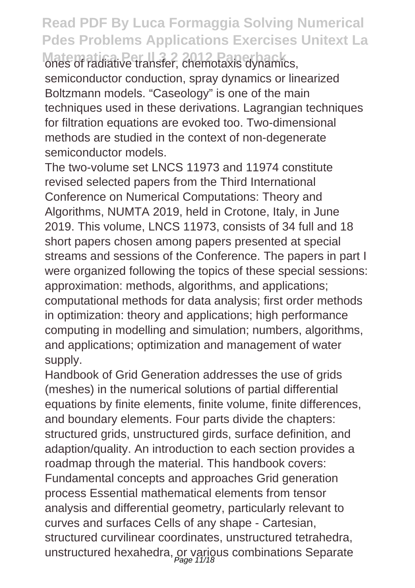**Matematica Per Il 3 2 2012 Paperback** ones of radiative transfer, chemotaxis dynamics, semiconductor conduction, spray dynamics or linearized Boltzmann models. "Caseology" is one of the main techniques used in these derivations. Lagrangian techniques for filtration equations are evoked too. Two-dimensional methods are studied in the context of non-degenerate semiconductor models.

The two-volume set LNCS 11973 and 11974 constitute revised selected papers from the Third International Conference on Numerical Computations: Theory and Algorithms, NUMTA 2019, held in Crotone, Italy, in June 2019. This volume, LNCS 11973, consists of 34 full and 18 short papers chosen among papers presented at special streams and sessions of the Conference. The papers in part I were organized following the topics of these special sessions: approximation: methods, algorithms, and applications; computational methods for data analysis; first order methods in optimization: theory and applications; high performance computing in modelling and simulation; numbers, algorithms, and applications; optimization and management of water supply.

Handbook of Grid Generation addresses the use of grids (meshes) in the numerical solutions of partial differential equations by finite elements, finite volume, finite differences, and boundary elements. Four parts divide the chapters: structured grids, unstructured girds, surface definition, and adaption/quality. An introduction to each section provides a roadmap through the material. This handbook covers: Fundamental concepts and approaches Grid generation process Essential mathematical elements from tensor analysis and differential geometry, particularly relevant to curves and surfaces Cells of any shape - Cartesian, structured curvilinear coordinates, unstructured tetrahedra, unstructured hexahedra, or various combinations Separate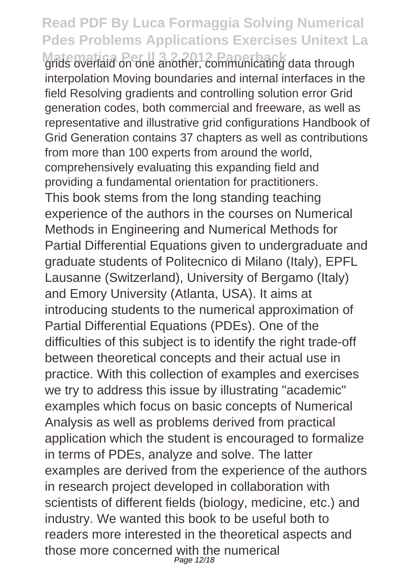**Matematica** Per **III** 3 2 2012 **Paper Bank grids** data through interpolation Moving boundaries and internal interfaces in the field Resolving gradients and controlling solution error Grid generation codes, both commercial and freeware, as well as representative and illustrative grid configurations Handbook of Grid Generation contains 37 chapters as well as contributions from more than 100 experts from around the world, comprehensively evaluating this expanding field and providing a fundamental orientation for practitioners. This book stems from the long standing teaching experience of the authors in the courses on Numerical Methods in Engineering and Numerical Methods for Partial Differential Equations given to undergraduate and graduate students of Politecnico di Milano (Italy), EPFL Lausanne (Switzerland), University of Bergamo (Italy) and Emory University (Atlanta, USA). It aims at introducing students to the numerical approximation of Partial Differential Equations (PDEs). One of the difficulties of this subject is to identify the right trade-off between theoretical concepts and their actual use in practice. With this collection of examples and exercises we try to address this issue by illustrating "academic" examples which focus on basic concepts of Numerical Analysis as well as problems derived from practical application which the student is encouraged to formalize in terms of PDEs, analyze and solve. The latter examples are derived from the experience of the authors in research project developed in collaboration with scientists of different fields (biology, medicine, etc.) and industry. We wanted this book to be useful both to readers more interested in the theoretical aspects and those more concerned with the numerical Page 12/18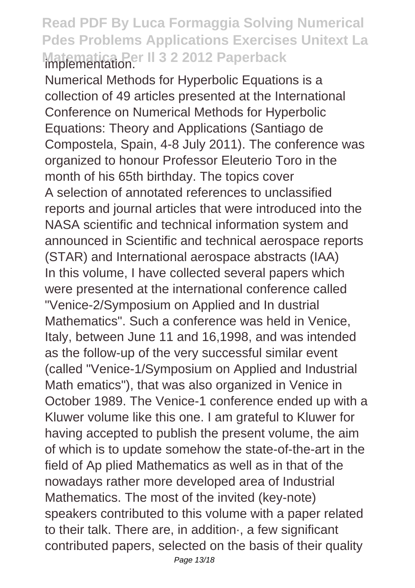#### **Read PDF By Luca Formaggia Solving Numerical Pdes Problems Applications Exercises Unitext La Matematica Per Il 3 2 2012 Paperback** implementation.

Numerical Methods for Hyperbolic Equations is a collection of 49 articles presented at the International Conference on Numerical Methods for Hyperbolic Equations: Theory and Applications (Santiago de Compostela, Spain, 4-8 July 2011). The conference was organized to honour Professor Eleuterio Toro in the month of his 65th birthday. The topics cover A selection of annotated references to unclassified reports and journal articles that were introduced into the NASA scientific and technical information system and announced in Scientific and technical aerospace reports (STAR) and International aerospace abstracts (IAA) In this volume, I have collected several papers which were presented at the international conference called "Venice-2/Symposium on Applied and In dustrial Mathematics". Such a conference was held in Venice, Italy, between June 11 and 16,1998, and was intended as the follow-up of the very successful similar event (called "Venice-1/Symposium on Applied and Industrial Math ematics"), that was also organized in Venice in October 1989. The Venice-1 conference ended up with a Kluwer volume like this one. I am grateful to Kluwer for having accepted to publish the present volume, the aim of which is to update somehow the state-of-the-art in the field of Ap plied Mathematics as well as in that of the nowadays rather more developed area of Industrial Mathematics. The most of the invited (key-note) speakers contributed to this volume with a paper related to their talk. There are, in addition·, a few significant contributed papers, selected on the basis of their quality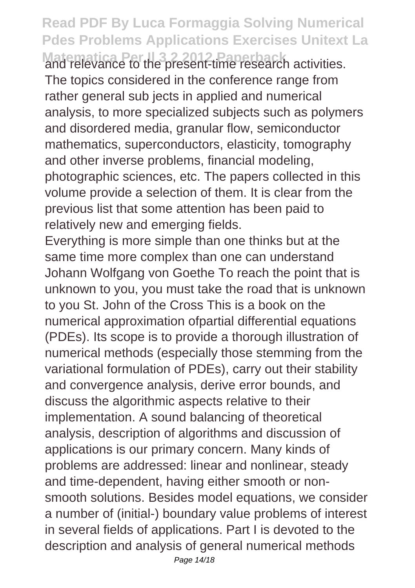**Matematica Per Il 3 2 2012 Paperback** and relevance to the present-time research activities. The topics considered in the conference range from rather general sub jects in applied and numerical analysis, to more specialized subjects such as polymers and disordered media, granular flow, semiconductor mathematics, superconductors, elasticity, tomography and other inverse problems, financial modeling, photographic sciences, etc. The papers collected in this volume provide a selection of them. It is clear from the previous list that some attention has been paid to relatively new and emerging fields.

Everything is more simple than one thinks but at the same time more complex than one can understand Johann Wolfgang von Goethe To reach the point that is unknown to you, you must take the road that is unknown to you St. John of the Cross This is a book on the numerical approximation ofpartial differential equations (PDEs). Its scope is to provide a thorough illustration of numerical methods (especially those stemming from the variational formulation of PDEs), carry out their stability and convergence analysis, derive error bounds, and discuss the algorithmic aspects relative to their implementation. A sound balancing of theoretical analysis, description of algorithms and discussion of applications is our primary concern. Many kinds of problems are addressed: linear and nonlinear, steady and time-dependent, having either smooth or nonsmooth solutions. Besides model equations, we consider a number of (initial-) boundary value problems of interest in several fields of applications. Part I is devoted to the description and analysis of general numerical methods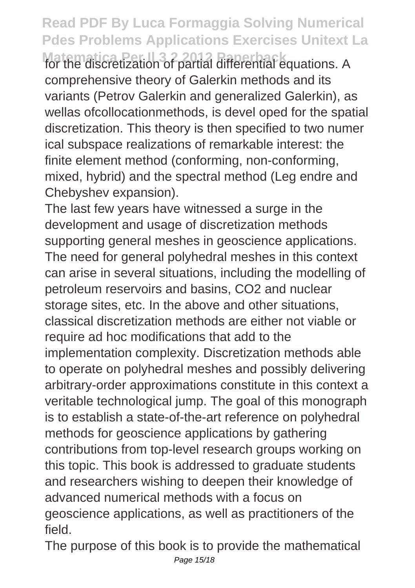**Matematica Per Il 3 2 2012 Paperback** for the discretization of partial differential equations. A comprehensive theory of Galerkin methods and its variants (Petrov Galerkin and generalized Galerkin), as wellas ofcollocationmethods, is devel oped for the spatial discretization. This theory is then specified to two numer ical subspace realizations of remarkable interest: the finite element method (conforming, non-conforming, mixed, hybrid) and the spectral method (Leg endre and Chebyshev expansion).

The last few years have witnessed a surge in the development and usage of discretization methods supporting general meshes in geoscience applications. The need for general polyhedral meshes in this context can arise in several situations, including the modelling of petroleum reservoirs and basins, CO2 and nuclear storage sites, etc. In the above and other situations, classical discretization methods are either not viable or require ad hoc modifications that add to the implementation complexity. Discretization methods able to operate on polyhedral meshes and possibly delivering arbitrary-order approximations constitute in this context a veritable technological jump. The goal of this monograph is to establish a state-of-the-art reference on polyhedral methods for geoscience applications by gathering contributions from top-level research groups working on this topic. This book is addressed to graduate students and researchers wishing to deepen their knowledge of advanced numerical methods with a focus on geoscience applications, as well as practitioners of the field.

The purpose of this book is to provide the mathematical Page 15/18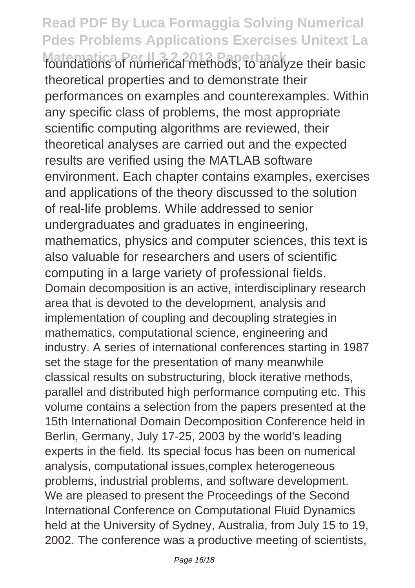**Matematica Per Il 3 2 2012 Paperback** foundations of numerical methods, to analyze their basic theoretical properties and to demonstrate their performances on examples and counterexamples. Within any specific class of problems, the most appropriate scientific computing algorithms are reviewed, their theoretical analyses are carried out and the expected results are verified using the MATLAB software environment. Each chapter contains examples, exercises and applications of the theory discussed to the solution of real-life problems. While addressed to senior undergraduates and graduates in engineering, mathematics, physics and computer sciences, this text is also valuable for researchers and users of scientific computing in a large variety of professional fields. Domain decomposition is an active, interdisciplinary research area that is devoted to the development, analysis and implementation of coupling and decoupling strategies in mathematics, computational science, engineering and industry. A series of international conferences starting in 1987 set the stage for the presentation of many meanwhile classical results on substructuring, block iterative methods, parallel and distributed high performance computing etc. This volume contains a selection from the papers presented at the 15th International Domain Decomposition Conference held in Berlin, Germany, July 17-25, 2003 by the world's leading experts in the field. Its special focus has been on numerical analysis, computational issues,complex heterogeneous problems, industrial problems, and software development. We are pleased to present the Proceedings of the Second International Conference on Computational Fluid Dynamics held at the University of Sydney, Australia, from July 15 to 19, 2002. The conference was a productive meeting of scientists,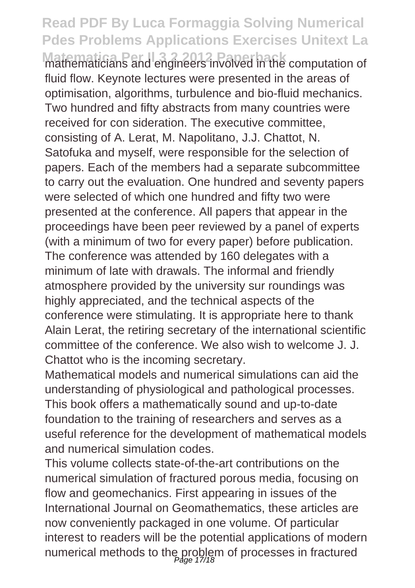**Matematicians and engineers involved in the computation of** fluid flow. Keynote lectures were presented in the areas of optimisation, algorithms, turbulence and bio-fluid mechanics. Two hundred and fifty abstracts from many countries were received for con sideration. The executive committee, consisting of A. Lerat, M. Napolitano, J.J. Chattot, N. Satofuka and myself, were responsible for the selection of papers. Each of the members had a separate subcommittee to carry out the evaluation. One hundred and seventy papers were selected of which one hundred and fifty two were presented at the conference. All papers that appear in the proceedings have been peer reviewed by a panel of experts (with a minimum of two for every paper) before publication. The conference was attended by 160 delegates with a minimum of late with drawals. The informal and friendly atmosphere provided by the university sur roundings was highly appreciated, and the technical aspects of the conference were stimulating. It is appropriate here to thank Alain Lerat, the retiring secretary of the international scientific committee of the conference. We also wish to welcome J. J. Chattot who is the incoming secretary.

Mathematical models and numerical simulations can aid the understanding of physiological and pathological processes. This book offers a mathematically sound and up-to-date foundation to the training of researchers and serves as a useful reference for the development of mathematical models and numerical simulation codes.

This volume collects state-of-the-art contributions on the numerical simulation of fractured porous media, focusing on flow and geomechanics. First appearing in issues of the International Journal on Geomathematics, these articles are now conveniently packaged in one volume. Of particular interest to readers will be the potential applications of modern numerical methods to the problem of processes in fractured